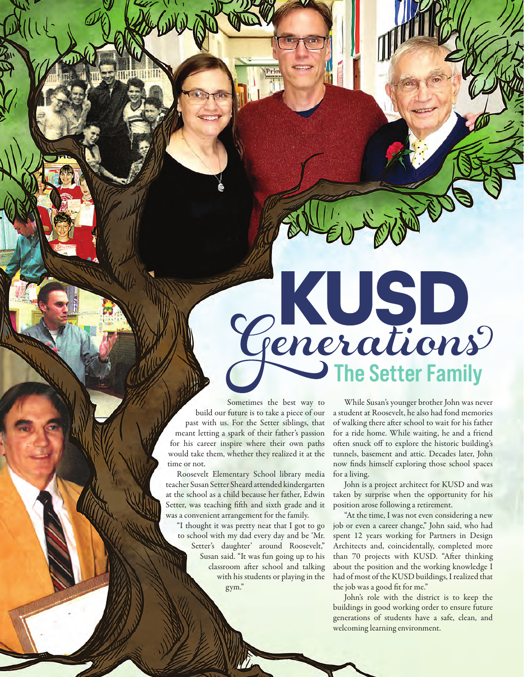The Setter Family

Sometimes the best way to build our future is to take a piece of our past with us. For the Setter siblings, that meant letting a spark of their father's passion for his career inspire where their own paths would take them, whether they realized it at the time or not.

Roosevelt Elementary School library media teacher Susan Setter Sheard attended kindergarten at the school as a child because her father, Edwin Setter, was teaching fifth and sixth grade and it was a convenient arrangement for the family.

"I thought it was pretty neat that I got to go to school with my dad every day and be 'Mr. Setter's daughter' around Roosevelt," Susan said. "It was fun going up to his classroom after school and talking with his students or playing in the gym."

18 | Community Report 2021 | Kustom Report 2021 | Kustom Report 2021 | Kustom Report 2021 | Kustom Report 2021

While Susan's younger brother John was never a student at Roosevelt, he also had fond memories of walking there after school to wait for his father for a ride home. While waiting, he and a friend often snuck off to explore the historic building's tunnels, basement and attic. Decades later, John now finds himself exploring those school spaces for a living.

John is a project architect for KUSD and was taken by surprise when the opportunity for his position arose following a retirement.

"At the time, I was not even considering a new job or even a career change," John said, who had spent 12 years working for Partners in Design Architects and, coincidentally, completed more than 70 projects with KUSD. "After thinking about the position and the working knowledge I had of most of the KUSD buildings, I realized that the job was a good fit for me."

John's role with the district is to keep the buildings in good working order to ensure future generations of students have a safe, clean, and welcoming learning environment.